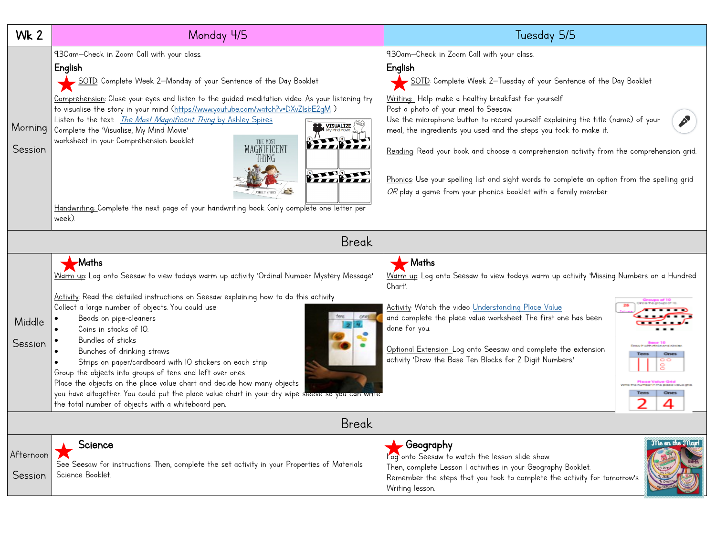| <b>Wk 2</b>          | Monday 4/5                                                                                                                                                                                                                                                                                                                                                                                                                                                                                                                                                                                                                                                                                                                    | Tuesday 5/5                                                                                                                                                                                                                                                                                                                                                                                                                                                                                                                                                                                                                                      |  |  |
|----------------------|-------------------------------------------------------------------------------------------------------------------------------------------------------------------------------------------------------------------------------------------------------------------------------------------------------------------------------------------------------------------------------------------------------------------------------------------------------------------------------------------------------------------------------------------------------------------------------------------------------------------------------------------------------------------------------------------------------------------------------|--------------------------------------------------------------------------------------------------------------------------------------------------------------------------------------------------------------------------------------------------------------------------------------------------------------------------------------------------------------------------------------------------------------------------------------------------------------------------------------------------------------------------------------------------------------------------------------------------------------------------------------------------|--|--|
| Morning<br>Session   | 9.30am-Check in Zoom Call with your class.<br>English<br>SOTD: Complete Week 2—Monday of your Sentence of the Day Booklet<br>Comprehension: Close your eyes and listen to the guided meditation video. As your listening try<br>to visualise the story in your mind (https://www.youtube.com/watch?v=DXvZIsbE2qM)<br>Listen to the text: <i>The Most Magnificent Thing</i> by Ashley Spires<br><b>VISUALIZE</b><br>Complete the 'Visualise, My Mind Movie'<br>worksheet in your Comprehension booklet<br>THE MOST<br>MAGNIFICENT<br>THiNG<br>$\frac{0}{1}$<br>Handwriting: Complete the next page of your handwriting book (only complete one letter per<br>week)                                                             | 9.30am-Check in Zoom Call with your class.<br>English<br>SOTD: Complete Week 2-Tuesday of your Sentence of the Day Booklet<br>Writing: Help make a healthy breakfast for yourself<br>Post a photo of your meal to Seesaw.<br>Use the microphone button to record yourself explaining the title (name) of your<br>meal, the ingredients you used and the steps you took to make it.<br>Reading: Read your book and choose a comprehension activity from the comprehension grid.<br>Phonics: Use your spelling list and sight words to complete an option from the spelling grid<br>OR play a game from your phonics booklet with a family member. |  |  |
| <b>Break</b>         |                                                                                                                                                                                                                                                                                                                                                                                                                                                                                                                                                                                                                                                                                                                               |                                                                                                                                                                                                                                                                                                                                                                                                                                                                                                                                                                                                                                                  |  |  |
| Middle<br>Session    | <b>Maths</b><br>Warm up: Log onto Seesaw to view todays warm up activity 'Ordinal Number Mystery Message'<br>Activity: Read the detailed instructions on Seesaw explaining how to do this activity.<br>Collect a large number of objects. You could use:<br>Beads on pipe-cleaners<br>Coins in stacks of IO.<br>Bundles of sticks<br>Bunches of drinking straws<br>Strips on paper/cardboard with IO stickers on each strip<br>Group the objects into groups of tens and left over ones.<br>Place the objects on the place value chart and decide how many objects<br>you have altogether. You could put the place value chart in your dry wipe sleeve so you can write<br>the total number of objects with a whiteboard pen. | $\blacktriangleright$ Maths<br>Warm up: Log onto Seesaw to view todays warm up activity 'Missing Numbers on a Hundred<br>Chart'.<br>Activity: Watch the video Understanding Place Value<br>and complete the place value worksheet. The first one has been<br>done for you.<br>Optional Extension: Log onto Seesaw and complete the extension<br>Ones<br>activity 'Draw the Base Ten Blocks for 2 Digit Numbers.'<br>Ones<br>2                                                                                                                                                                                                                    |  |  |
| <b>Break</b>         |                                                                                                                                                                                                                                                                                                                                                                                                                                                                                                                                                                                                                                                                                                                               |                                                                                                                                                                                                                                                                                                                                                                                                                                                                                                                                                                                                                                                  |  |  |
| Afternoon<br>Session | Science<br>See Seesaw for instructions. Then, complete the set activity in your Properties of Materials<br>Science Booklet.                                                                                                                                                                                                                                                                                                                                                                                                                                                                                                                                                                                                   | Me on the Map!<br>Geography<br>Log onto Seesaw to watch the lesson slide show.<br>Then, complete Lesson I activities in your Geography Booklet.<br>Remember the steps that you took to complete the activity for tomorrow's<br>Writing lesson.                                                                                                                                                                                                                                                                                                                                                                                                   |  |  |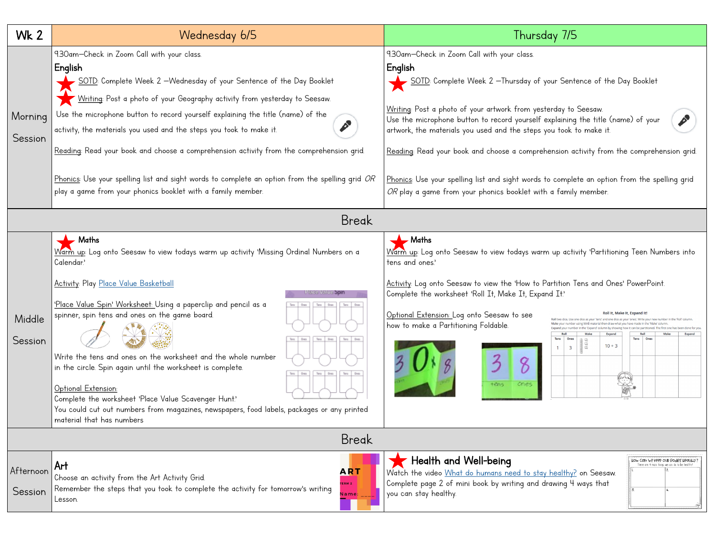| <b>Wk 2</b>          | Wednesday 6/5                                                                                                                                                                                                                                                                                                                                                                                                                                                                                                                                                                                                                                        | Thursday 7/5                                                                                                                                                                                                                                                                                                                                                                                                                                                                                                                                                                                                            |  |  |
|----------------------|------------------------------------------------------------------------------------------------------------------------------------------------------------------------------------------------------------------------------------------------------------------------------------------------------------------------------------------------------------------------------------------------------------------------------------------------------------------------------------------------------------------------------------------------------------------------------------------------------------------------------------------------------|-------------------------------------------------------------------------------------------------------------------------------------------------------------------------------------------------------------------------------------------------------------------------------------------------------------------------------------------------------------------------------------------------------------------------------------------------------------------------------------------------------------------------------------------------------------------------------------------------------------------------|--|--|
| Morning<br>Session   | 9.30am-Check in Zoom Call with your class.<br>English<br>SOTD: Complete Week 2 -Wednesday of your Sentence of the Day Booklet<br>Writing: Post a photo of your Geography activity from yesterday to Seesaw.<br>Use the microphone button to record yourself explaining the title (name) of the<br>$\mathcal{L}$<br>activity, the materials you used and the steps you took to make it.<br>Reading: Read your book and choose a comprehension activity from the comprehension grid.<br>Phonics: Use your spelling list and sight words to complete an option from the spelling grid OR<br>play a game from your phonics booklet with a family member. | 9.30am-Check in Zoom Call with your class.<br>English<br>SOTD: Complete Week 2 -Thursday of your Sentence of the Day Booklet<br>Writing: Post a photo of your artwork from yesterday to Seesaw.<br>Use the microphone button to record yourself explaining the title (name) of your<br>artwork, the materials you used and the steps you took to make it.<br>Reading: Read your book and choose a comprehension activity from the comprehension grid.<br>Phonics: Use your spelling list and sight words to complete an option from the spelling grid<br>OR play a game from your phonics booklet with a family member. |  |  |
| <b>Break</b>         |                                                                                                                                                                                                                                                                                                                                                                                                                                                                                                                                                                                                                                                      |                                                                                                                                                                                                                                                                                                                                                                                                                                                                                                                                                                                                                         |  |  |
| Middle<br>Session    | $\blacktriangleright$ Maths<br>Warm up: Log onto Seesaw to view todays warm up activity 'Missing Ordinal Numbers on a<br>Calendar.'<br>Activity: Play Place Value Basketball<br>'Place Value Spin' Worksheet: Using a paperclip and pencil as a<br>spinner, spin tens and ones on the game board.<br>Write the tens and ones on the worksheet and the whole number<br>in the circle. Spin again until the worksheet is complete.<br>Optional Extension:<br>Complete the worksheet 'Place Value Scavenger Hunt'<br>You could cut out numbers from magazines, newspapers, food labels, packages or any printed<br>material that has numbers            | $\blacktriangleright$ Maths<br>Warm up: Log onto Seesaw to view todays warm up activity 'Partitioning Teen Numbers into<br>tens and ones.'<br>Activity: Log onto Seesaw to view the 'How to Partition Tens and Ones' PowerPoint.<br>Complete the worksheet 'Roll It, Make It, Expand It'<br>Optional Extension: Log onto Seesaw to see<br>how to make a Partitioning Foldable.<br>anan<br>Bad<br>$10 + 3$<br>$\overline{\mathbf{3}}$<br>ones<br>tens                                                                                                                                                                    |  |  |
| <b>Break</b>         |                                                                                                                                                                                                                                                                                                                                                                                                                                                                                                                                                                                                                                                      |                                                                                                                                                                                                                                                                                                                                                                                                                                                                                                                                                                                                                         |  |  |
| Afternoon<br>Session | Art<br><b>ART</b><br>Choose an activity from the Art Activity Grid.<br>ERM <sub>2</sub><br>Remember the steps that you took to complete the activity for tomorrow's writing<br><b>Name:</b><br>Lesson.                                                                                                                                                                                                                                                                                                                                                                                                                                               | Health and Well-being<br>HOM COM ME K66b ONS BORGET H60MH7.<br>There are 4 main things we can do to be health-<br>Watch the video What do humans need to stay healthy? on Seesaw.<br>Complete page 2 of mini book by writing and drawing 4 ways that<br>you can stay healthy.                                                                                                                                                                                                                                                                                                                                           |  |  |